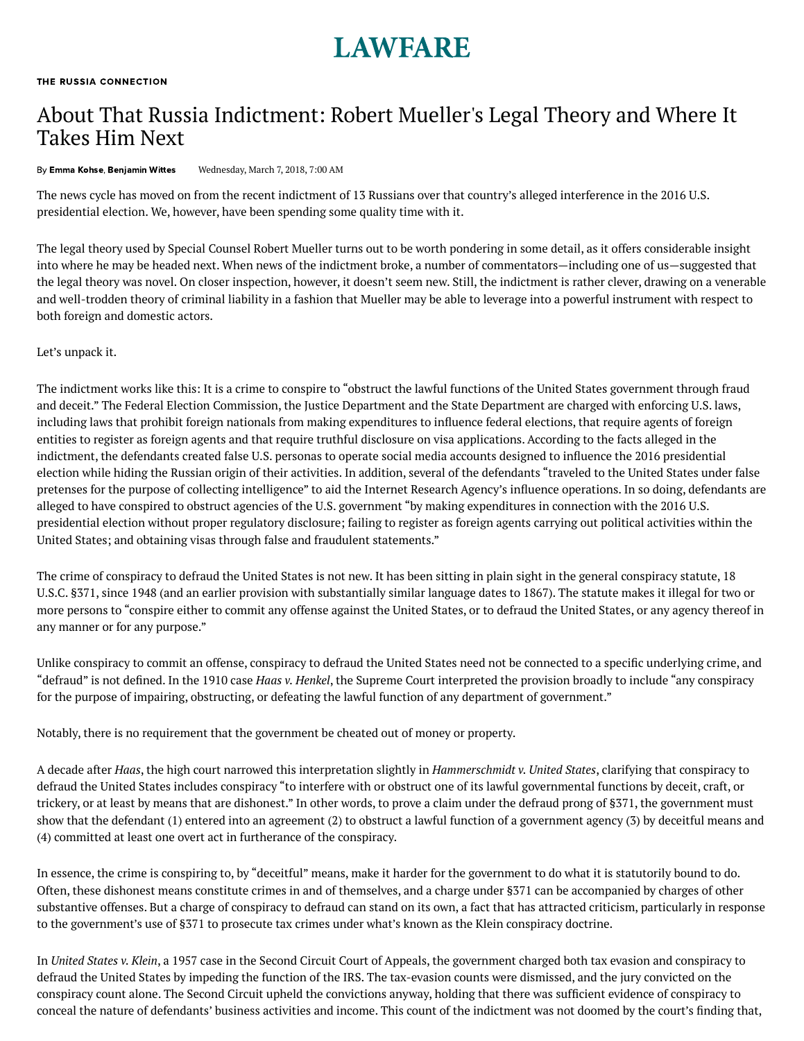## **LAWFARE**

## About That Russia Indictment: Robert Mueller's Legal Theory and Where It Takes Him Next

By Emma [Kohse,](https://www.lawfareblog.com/contributors/ekohse) [Benjamin](https://www.lawfareblog.com/contributors/bwittes) Wittes Wednesday, March 7, 2018, 7:00 AM

The news cycle has moved on from the recent [indictment](https://lawfareblog.com/document-special-counsel-indicts-russian-nationals-and-entities) of 13 Russians over that country's alleged interference in the 2016 U.S. presidential election. We, however, have been spending some quality time with it.

The legal theory used by Special Counsel Robert Mueller turns out to be worth pondering in some detail, as it offers considerable insight into where he may be headed next. When news of the indictment broke, a number of commentators—including one of us—suggested that the legal theory was novel. On closer inspection, however, it doesn't seem new. Still, the indictment is rather clever, drawing on a venerable and well-trodden theory of criminal liability in a fashion that Mueller may be able to leverage into a powerful instrument with respect to both foreign and domestic actors.

Let's unpack it.

The indictment works like this: It is a crime to conspire to "obstruct the lawful functions of the United States government through fraud and deceit." The Federal Election Commission, the Justice Department and the State Department are charged with enforcing U.S. laws, including laws that prohibit foreign nationals from making expenditures to influence federal elections, that require agents of foreign entities to register as foreign agents and that require truthful disclosure on visa applications. According to the facts alleged in the indictment, the defendants created false U.S. personas to operate social media accounts designed to influence the 2016 presidential election while hiding the Russian origin of their activities. In addition, several of the defendants "traveled to the United States under false pretenses for the purpose of collecting intelligence" to aid the Internet Research Agency's influence operations. In so doing, defendants are alleged to have conspired to obstruct agencies of the U.S. government "by making expenditures in connection with the 2016 U.S. presidential election without proper regulatory disclosure; failing to register as foreign agents carrying out political activities within the United States; and obtaining visas through false and fraudulent statements."

The crime of conspiracy to defraud the United States is not new. It has been sitting in plain sight in the general conspiracy statute, 18 U.S.C. §371, since 1948 (and an earlier provision with [substantially](https://www.law.cornell.edu/uscode/text/18/371) similar language [dates](https://www.everycrsreport.com/reports/R41223.html#fn27) to 1867). The statute makes it illegal for two or more persons to "conspire either to commit any offense against the United States, or to defraud the United States, or any agency thereof in any manner or for any purpose."

Unlike conspiracy to commit an offense, conspiracy to defraud the United States need not be connected to a specific underlying crime, and "defraud" is not defined. In the 1910 case *Haas v. [Henkel](http://caselaw.findlaw.com/us-supreme-court/216/462.html)*, the Supreme Court interpreted the provision broadly to include "any conspiracy for the purpose of impairing, obstructing, or defeating the lawful function of any department of government."

Notably, there is no requirement that the government be cheated out of money or property.

A decade after *Haas*, the high court narrowed this interpretation slightly in *[Hammerschmidt](http://caselaw.findlaw.com/us-supreme-court/265/182.html) v. United States*, clarifying that conspiracy to defraud the United States includes conspiracy "to interfere with or obstruct one of its lawful governmental functions by deceit, craft, or trickery, or at least by means that are dishonest." In other words, to prove a claim under the defraud prong of §371, the government must show that the defendant (1) entered into an agreement (2) to obstruct a lawful function of a government agency (3) by deceitful means and (4) committed at least one overt act in furtherance of the conspiracy.

In essence, the crime is conspiring to, by "deceitful" means, make it harder for the government to do what it is statutorily bound to do. Often, these dishonest means constitute crimes in and of themselves, and a charge under §371 can be accompanied by charges of other substantive offenses. But a charge of conspiracy to defraud can stand on its own, a fact that has [attracted](http://heinonline.org/HOL/LandingPage?handle=hein.journals/ylr68&div=32&id=&page=) [criticism](https://www.maglaw.com/publications/articles/2013-01-25-time-to-revisit-the-klein-conspiracy-doctrine/_res/id=Attachments/index=/Time%20to%20Revisit%20the%20%E2%80%98Klein%E2%80%99%20Conspiracy%20Doctrine.pdf), particularly in response to the government's use of §371 to prosecute tax crimes under what's known as the Klein conspiracy doctrine.

In *[United](https://openjurist.org/247/f2d/908/united-states-v-klein-o) States v. [Klein](https://openjurist.org/247/f2d/908/united-states-v-klein-o)*, a 1957 case in the Second Circuit Court of Appeals, the government charged both tax evasion and conspiracy to defraud the United States by impeding the function of the IRS. The tax-evasion counts were dismissed, and the jury convicted on the conspiracy count alone. The Second Circuit upheld the convictions anyway, holding that there was sufficient evidence of conspiracy to conceal the nature of defendants' business activities and income. This count of the indictment was not doomed by the court's finding that,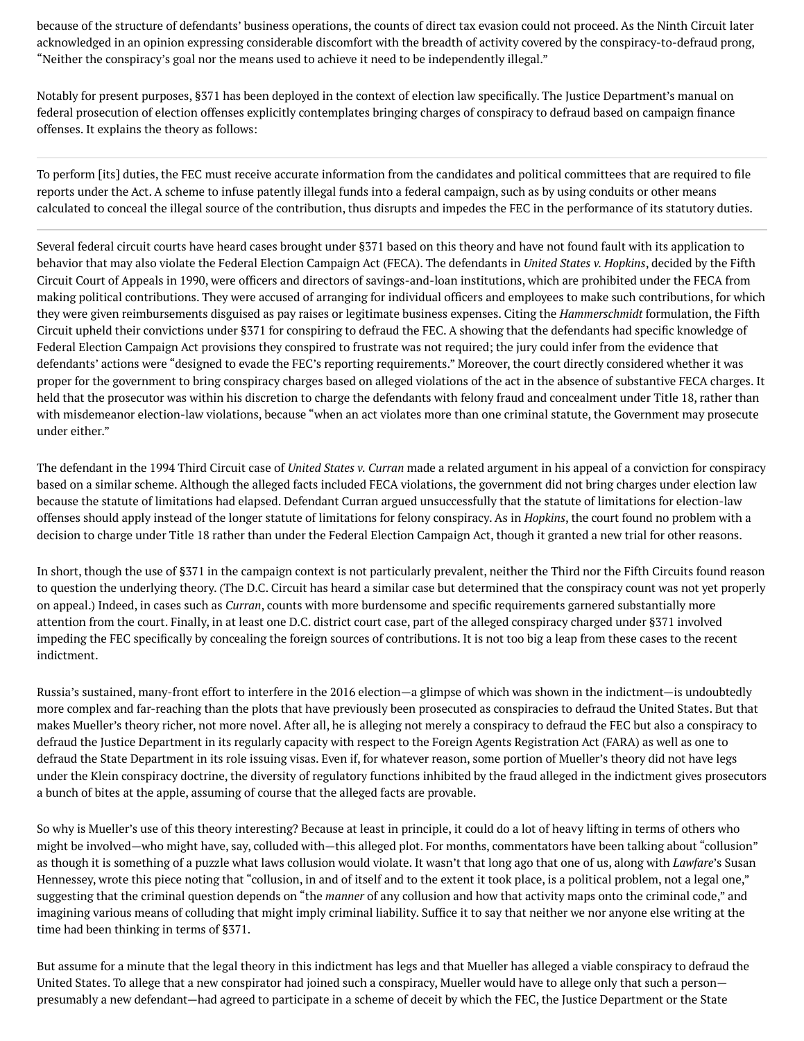because of the structure of defendants' business operations, the counts of direct tax evasion could not proceed. As the Ninth Circuit [later](https://openjurist.org/989/f2d/1056/united-states-v-s-caldwell) [acknowledged](https://openjurist.org/989/f2d/1056/united-states-v-s-caldwell) in an opinion expressing considerable discomfort with the breadth of activity covered by the conspiracy-to-defraud prong, "Neither the conspiracy's goal nor the means used to achieve it need to be independently illegal."

Notably for present purposes, §371 has been deployed in the context of election law specifically. The Justice Department's [manual](https://www.justice.gov/sites/default/files/criminal/legacy/2013/09/30/electbook-0507.pdf) on federal prosecution of election offenses explicitly contemplates bringing charges of conspiracy to defraud based on campaign finance offenses. It explains the theory as follows:

To perform [its] duties, the FEC must receive accurate information from the candidates and political committees that are required to file reports under the Act. A scheme to infuse patently illegal funds into a federal campaign, such as by using conduits or other means calculated to conceal the illegal source of the contribution, thus disrupts and impedes the FEC in the performance of its statutory duties.

Several federal circuit courts have heard cases brought under §371 based on this theory and have not found fault with its application to behavior that may also violate the Federal Election Campaign Act (FECA). The defendants in *United States v. [Hopkins](https://openjurist.org/916/f2d/207/united-states-v-h-hopkins-w)*, decided by the Fifth Circuit Court of Appeals in 1990, were officers and directors of savings-and-loan institutions, which are prohibited under the FECA from making political contributions. They were accused of arranging for individual officers and employees to make such contributions, for which they were given reimbursements disguised as pay raises or legitimate business expenses. Citing the *Hammerschmidt* formulation, the Fifth Circuit upheld their convictions under §371 for conspiring to defraud the FEC. A showing that the defendants had specific knowledge of Federal Election Campaign Act provisions they conspired to frustrate was not required; the jury could infer from the evidence that defendants' actions were "designed to evade the FEC's reporting requirements." Moreover, the court directly considered whether it was proper for the government to bring conspiracy charges based on alleged violations of the act in the absence of substantive FECA charges. It held that the prosecutor was within his discretion to charge the defendants with felony fraud and concealment under Title 18, rather than with misdemeanor election-law violations, because "when an act violates more than one criminal statute, the Government may prosecute under either."

The defendant in the 1994 Third Circuit case of *United States v. [Curran](https://openjurist.org/20/f3d/560/united-states-v-j-curran)* made a related argument in his appeal of a conviction for conspiracy based on a similar scheme. Although the alleged facts included FECA violations, the government did not bring charges under election law because the statute of limitations had elapsed. Defendant Curran argued unsuccessfully that the statute of limitations for election-law offenses should apply instead of the longer statute of limitations for felony conspiracy. As in *Hopkins*, the court found no problem with a decision to charge under Title 18 rather than under the Federal Election Campaign Act, though it granted a new trial for other reasons.

In short, though the use of §371 in the campaign context is not particularly prevalent, neither the Third nor the Fifth Circuits found reason to question the underlying theory. (The D.C. Circuit has heard a [similar](https://openjurist.org/176/f3d/517/united-states-v-hsia) case but determined that the conspiracy count was not yet properly on appeal.) Indeed, in cases such as *Curran*, counts with more burdensome and specific requirements garnered substantially more attention from the court. Finally, in at least one D.C. district court [case](https://law.justia.com/cases/federal/district-courts/FSupp2/23/55/2297479/), part of the alleged conspiracy charged under §371 involved impeding the FEC specifically by concealing the foreign sources of contributions. It is not too big a leap from these cases to the recent indictment.

Russia's sustained, many-front effort to interfere in the 2016 election—a glimpse of which was shown in the indictment—is undoubtedly more complex and far-reaching than the plots that have previously been prosecuted as conspiracies to defraud the United States. But that makes Mueller's theory richer, not more novel. After all, he is alleging not merely a conspiracy to defraud the FEC but also a conspiracy to defraud the Justice Department in its regularly capacity with respect to the Foreign Agents Registration Act (FARA) as well as one to defraud the State Department in its role issuing visas. Even if, for whatever reason, some portion of Mueller's theory did not have legs under the Klein conspiracy doctrine, the diversity of regulatory functions inhibited by the fraud alleged in the indictment gives prosecutors a bunch of bites at the apple, assuming of course that the alleged facts are provable.

So why is Mueller's use of this theory interesting? Because at least in principle, it could do a lot of heavy lifting in terms of others who might be involved—who might have, say, colluded with—this alleged plot. For months, commentators have been talking about "collusion" as though it is something of a puzzle what laws collusion would violate. It wasn't that long ago that one of us, along with *Lawfare*'s Susan Hennessey, wrote this [piece](http://foreignpolicy.com/2017/07/06/what-kind-of-crook-is-donald-trump/) noting that "collusion, in and of itself and to the extent it took place, is a political problem, not a legal one," suggesting that the criminal question depends on "the *manner* of any collusion and how that activity maps onto the criminal code," and imagining various means of colluding that might imply criminal liability. Suffice it to say that neither we nor anyone else writing at the time had been thinking in terms of §371.

But assume for a minute that the legal theory in this indictment has legs and that Mueller has alleged a viable conspiracy to defraud the United States. To allege that a new conspirator had joined such a conspiracy, Mueller would have to allege only that such a person presumably a new defendant—had agreed to participate in a scheme of deceit by which the FEC, the Justice Department or the State